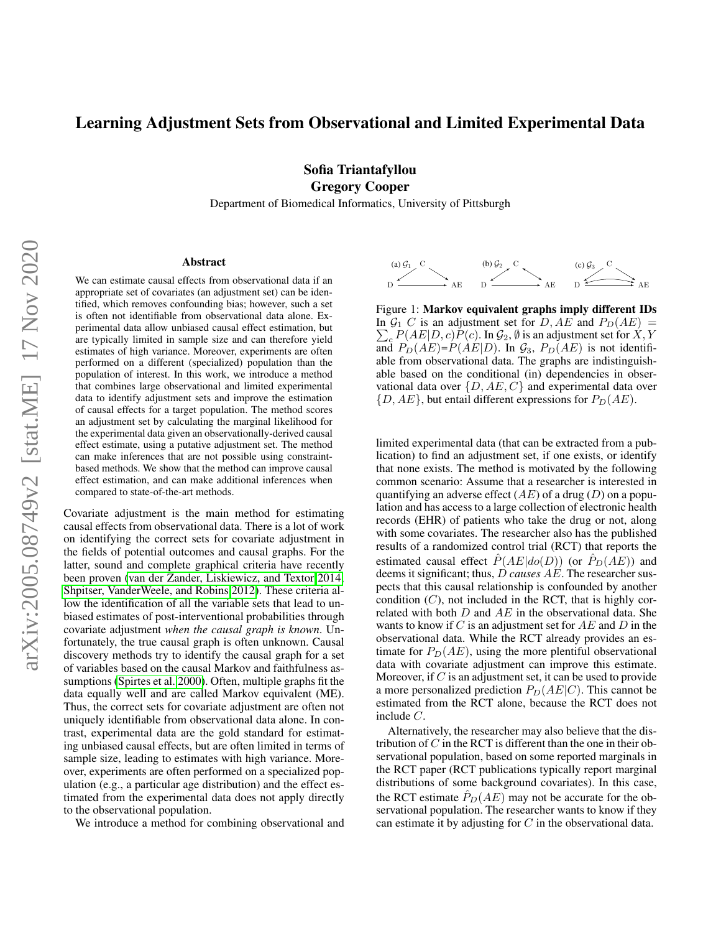# Learning Adjustment Sets from Observational and Limited Experimental Data

Sofia Triantafyllou Gregory Cooper

Department of Biomedical Informatics, University of Pittsburgh

#### Abstract

We can estimate causal effects from observational data if an appropriate set of covariates (an adjustment set) can be identified, which removes confounding bias; however, such a set is often not identifiable from observational data alone. Experimental data allow unbiased causal effect estimation, but are typically limited in sample size and can therefore yield estimates of high variance. Moreover, experiments are often performed on a different (specialized) population than the population of interest. In this work, we introduce a method that combines large observational and limited experimental data to identify adjustment sets and improve the estimation of causal effects for a target population. The method scores an adjustment set by calculating the marginal likelihood for the experimental data given an observationally-derived causal effect estimate, using a putative adjustment set. The method can make inferences that are not possible using constraintbased methods. We show that the method can improve causal effect estimation, and can make additional inferences when compared to state-of-the-art methods.

Covariate adjustment is the main method for estimating causal effects from observational data. There is a lot of work on identifying the correct sets for covariate adjustment in the fields of potential outcomes and causal graphs. For the latter, sound and complete graphical criteria have recently been proven [\(van der Zander, Liskiewicz, and Textor 2014;](#page-7-0) [Shpitser, VanderWeele, and Robins 2012\)](#page-7-1). These criteria allow the identification of all the variable sets that lead to unbiased estimates of post-interventional probabilities through covariate adjustment *when the causal graph is known*. Unfortunately, the true causal graph is often unknown. Causal discovery methods try to identify the causal graph for a set of variables based on the causal Markov and faithfulness assumptions [\(Spirtes et al. 2000\)](#page-7-2). Often, multiple graphs fit the data equally well and are called Markov equivalent (ME). Thus, the correct sets for covariate adjustment are often not uniquely identifiable from observational data alone. In contrast, experimental data are the gold standard for estimating unbiased causal effects, but are often limited in terms of sample size, leading to estimates with high variance. Moreover, experiments are often performed on a specialized population (e.g., a particular age distribution) and the effect estimated from the experimental data does not apply directly to the observational population.

We introduce a method for combining observational and

<span id="page-0-0"></span>

In  $\mathcal{G}_1$  C is an adjustment set for D, AE and  $P_D(AE)$  =  $\sum_{c} P(AE|D, c) P(c)$ . In  $\mathcal{G}_2$ , Ø is an adjustment set for  $X, Y$ and  $P_D(AE) = P(AE|D)$ . In  $\mathcal{G}_3$ ,  $P_D(AE)$  is not identifiable from observational data. The graphs are indistinguishvational data over  $\{D, AE, C\}$  and experimental data over  $\{D, AE\}$ , but entail different expressions for  $P_D(AE)$ . Figure 1: Markov equivalent graphs imply different IDs able based on the conditional (in) dependencies in obser-

limited experimental data (that can be extracted from a publication) to find an adjustment set, if one exists, or identify that none exists. The method is motivated by the following common scenario: Assume that a researcher is interested in quantifying an adverse effect  $(AE)$  of a drug  $(D)$  on a population and has access to a large collection of electronic health  $\frac{18}{18}$  records (EHR) of patients who take the drug or not, along  $\sum_{n=1}^{\infty}$  with some covariates. The researcher also has the published estimated causal effect  $\hat{P}(AE|do(D))$  (or  $\hat{P}_D(AE)$ ) and deems it significant; thus, D *causes AE*. The researcher sus- $\frac{1}{1}$  pects that this causal relationship is confounded by another  $\frac{1}{1}$  condition (C), not included in the RCT, that is highly cor- $P_{\rm th}$  related with both D and AE in the observational data. She wants to know if C is an adjustment set for AE and D in the  $\frac{1}{\text{all}}$  becoming to remove the corresponding edges intervals while the RCT already provides an es- $\epsilon$ <sub>S-</sub> data with covariate adjustment can improve this estimate. Moreover, if C is an adjustment set, it can be used to provide a more personalized prediction  $P_D(AE|C)$ . This cannot be a more personalized prediction  $P_D(AE|C)$ . a more personanzed prediction  $T_D(xE|y)$ . This cannot be estimated from the RCT alone, because the RCT does not  $\mathbf{h}_{1}$  include U. results of a randomized control trial (RCT) that reports the timate for  $P_D(AE)$ , using the more plentiful observational include C.

 $t<sub>1</sub>$  Alternatively, the researcher may also believe that the dis- $\frac{1}{2}$  of tribution of C in the RCT is different than the one in their ob-<sup>70</sup> Definition 1. Z *satisfies the adjustment criterion relative to* (X, Y ) *in* G *if (a) No node in* Z *is a* servational population, based on some reported marginals in <sub>2</sub> the RCT paper (RCT publications typically report marginal <sup>22</sup> blocked by *blocked by blocked by blocked by choice marginal s*. the RCT estimate  $\hat{P}_D(AE)$  may not be accurate for the obcan estimate it by adjusting for  $C$  in the observational data. servational population. The researcher wants to know if they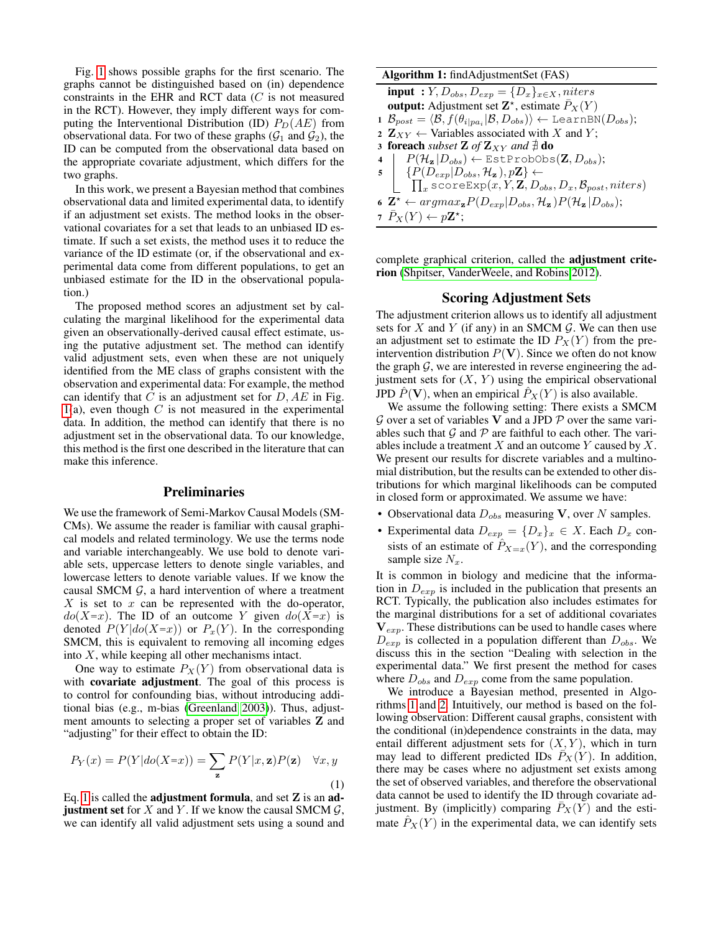Fig. [1](#page-0-0) shows possible graphs for the first scenario. The graphs cannot be distinguished based on (in) dependence constraints in the EHR and RCT data  $(C$  is not measured in the RCT). However, they imply different ways for computing the Interventional Distribution (ID)  $P_D(AE)$  from observational data. For two of these graphs  $(\mathcal{G}_1$  and  $\mathcal{G}_2$ ), the ID can be computed from the observational data based on the appropriate covariate adjustment, which differs for the two graphs.

In this work, we present a Bayesian method that combines observational data and limited experimental data, to identify if an adjustment set exists. The method looks in the observational covariates for a set that leads to an unbiased ID estimate. If such a set exists, the method uses it to reduce the variance of the ID estimate (or, if the observational and experimental data come from different populations, to get an unbiased estimate for the ID in the observational population.)

The proposed method scores an adjustment set by calculating the marginal likelihood for the experimental data given an observationally-derived causal effect estimate, using the putative adjustment set. The method can identify valid adjustment sets, even when these are not uniquely identified from the ME class of graphs consistent with the observation and experimental data: For example, the method can identify that C is an adjustment set for  $D, AE$  in Fig. [1\(](#page-0-0)a), even though  $C$  is not measured in the experimental data. In addition, the method can identify that there is no adjustment set in the observational data. To our knowledge, this method is the first one described in the literature that can make this inference.

# Preliminaries

We use the framework of Semi-Markov Causal Models (SM-CMs). We assume the reader is familiar with causal graphical models and related terminology. We use the terms node and variable interchangeably. We use bold to denote variable sets, uppercase letters to denote single variables, and lowercase letters to denote variable values. If we know the causal SMCM  $G$ , a hard intervention of where a treatment  $X$  is set to  $x$  can be represented with the do-operator,  $do(X=x)$ . The ID of an outcome Y given  $do(X=x)$  is denoted  $P(Y|do(X=x))$  or  $P<sub>x</sub>(Y)$ . In the corresponding SMCM, this is equivalent to removing all incoming edges into  $X$ , while keeping all other mechanisms intact.

One way to estimate  $P_X(Y)$  from observational data is with covariate adjustment. The goal of this process is to control for confounding bias, without introducing additional bias (e.g., m-bias [\(Greenland 2003\)](#page-7-3)). Thus, adjustment amounts to selecting a proper set of variables Z and "adjusting" for their effect to obtain the ID:

<span id="page-1-0"></span>
$$
P_Y(x) = P(Y|do(X=x)) = \sum_{\mathbf{z}} P(Y|x, \mathbf{z}) P(\mathbf{z}) \quad \forall x, y
$$
\n(1)

Eq. [1](#page-1-0) is called the **adjustment formula**, and set  $Z$  is an  $ad$ **justment set** for X and Y. If we know the causal SMCM  $\mathcal{G}$ , we can identify all valid adjustment sets using a sound and

# Algorithm 1: findAdjustmentSet (FAS) input :  $Y, D_{obs}, D_{exp} = \{D_x\}_{x \in X}, niters$ output: Adjustment set  $\mathbf{Z}^{\star}$ , estimate  $\bar{P}_X(Y)$ 1  $\mathcal{B}_{post} = \langle \mathcal{B}, f(\theta_{i|pa_i}|\mathcal{B}, D_{obs}) \rangle \leftarrow \texttt{LearnBN}(D_{obs});$ 2  $\mathbf{Z}_{XY} \leftarrow$  Variables associated with X and Y; 3 **foreach** *subset* **Z** of  $\mathbf{Z}_{XY}$  and  $\ddagger$  **do**  $P(\mathcal{H}_{\mathbf{z}} | D_{obs}) \leftarrow \text{EstProbObs}(\mathbf{Z}, D_{obs});$ <br>  $P(D_{exp}| D_{obs}, \mathcal{H}_{\mathbf{z}}), p\mathbf{Z} \leftarrow$  $\mathbf{5}$   $\left\{\n\begin{array}{l}\n\{P(D_{exp}|D_{obs}, \mathcal{H}_{\mathbf{z}}), p\mathbf{Z}\} \leftarrow \ \prod_{\text{scoreExp}}(x, Y, \mathbf{Z}, D_{\text{c}})\n\end{array}\n\right\}$  $_{x}$  scoreExp $(x, Y, Z, D_{obs}, D_{x}, \mathcal{B}_{post}, niters)$ 6  $\mathbf{Z}^{\star} \leftarrow \operatorname{argmax}_{\mathbf{z}} P(D_{exp} | D_{obs}, \mathcal{H}_{\mathbf{z}}) P(\mathcal{H}_{\mathbf{z}} | D_{obs});$

<span id="page-1-1"></span>7  $\bar{P}_X(Y) \leftarrow p\mathbf{Z}^*;$ 

complete graphical criterion, called the adjustment criterion [\(Shpitser, VanderWeele, and Robins 2012\)](#page-7-1).

### Scoring Adjustment Sets

The adjustment criterion allows us to identify all adjustment sets for  $X$  and  $Y$  (if any) in an SMCM  $G$ . We can then use an adjustment set to estimate the ID  $P_X(Y)$  from the preintervention distribution  $P(V)$ . Since we often do not know the graph  $G$ , we are interested in reverse engineering the adjustment sets for  $(X, Y)$  using the empirical observational JPD  $P(\mathbf{V})$ , when an empirical  $P_X(Y)$  is also available.

We assume the following setting: There exists a SMCM  $G$  over a set of variables V and a JPD  $P$  over the same variables such that  $G$  and  $P$  are faithful to each other. The variables include a treatment  $X$  and an outcome  $Y$  caused by  $X$ . We present our results for discrete variables and a multinomial distribution, but the results can be extended to other distributions for which marginal likelihoods can be computed in closed form or approximated. We assume we have:

- Observational data  $D_{obs}$  measuring V, over N samples.
- Experimental data  $D_{exp} = \{D_x\}_x \in X$ . Each  $D_x$  consists of an estimate of  $\hat{P}_{X=x}(Y)$ , and the corresponding sample size  $N_r$ .

It is common in biology and medicine that the information in  $D_{exp}$  is included in the publication that presents an RCT. Typically, the publication also includes estimates for the marginal distributions for a set of additional covariates  $V_{exp}$ . These distributions can be used to handle cases where  $D_{exp}$  is collected in a population different than  $D_{obs}$ . We discuss this in the section "Dealing with selection in the experimental data." We first present the method for cases where  $D_{obs}$  and  $D_{exp}$  come from the same population.

We introduce a Bayesian method, presented in Algorithms [1](#page-1-1) and [2.](#page-2-0) Intuitively, our method is based on the following observation: Different causal graphs, consistent with the conditional (in)dependence constraints in the data, may entail different adjustment sets for  $(X, Y)$ , which in turn may lead to different predicted IDs  $\overline{P}_X(Y)$ . In addition, there may be cases where no adjustment set exists among the set of observed variables, and therefore the observational data cannot be used to identify the ID through covariate adjustment. By (implicitly) comparing  $\overline{P_X}(Y)$  and the estimate  $\hat{P}_X(Y)$  in the experimental data, we can identify sets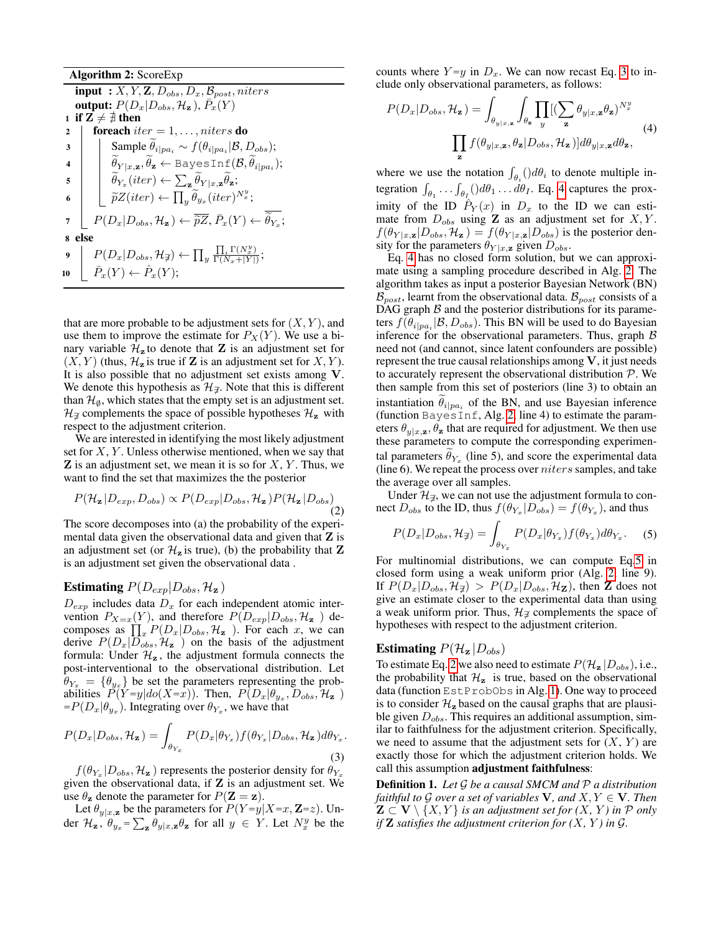Algorithm 2: ScoreExp input :  $X, Y, Z, D_{obs}, D_x, B_{post}, niters$ output:  $P(D_x|D_{obs}, \mathcal{H}_z)$ ,  $\overline{P}_x(Y)$ 1 if  $\mathbf{Z} \neq \mathbf{\#}$  then<br>2 | foreach it foreach  $iter = 1, \ldots, niters$  do 3 Sample  $\theta_{i|pa_i} \sim f(\theta_{i|pa_i}|\mathcal{B}, D_{obs});$ 4  $\theta_{Y|x, \mathbf{z}}, \theta_{\mathbf{z}} \leftarrow \texttt{BayesInf}(\mathcal{B}, \theta_{i|pa_i});$  $\mathbf{5} \quad | \quad \widetilde{\theta}_{Y_x}(iter) \leftarrow \sum_{\mathbf{z}} \widetilde{\theta}_{Y|x, \mathbf{z}} \widetilde{\theta}_{\mathbf{z}};$ 6  $\left| \quad \right| \left[ \widetilde{p}Z(iter) \leftarrow \prod_y \widetilde{\theta}_{y_x}(iter)^{N_x^y};\right.$ 7  $\left[ P(D_x | D_{obs}, \mathcal{H}_z) \leftarrow \overline{\tilde{p}Z}, \overline{P}_x(Y) \leftarrow \tilde{\theta}_{Y_x};$ 8 else  $9\quad \left[ \quad P(D_x|D_{obs}, \mathcal{H}_\not\supset \leftarrow \prod_y$  $\prod_i \Gamma(N_x^y)$  $\frac{\prod_i \Gamma(N_x)}{\Gamma(N_x+|Y|)}$ 10  $\left[ \bar{P}_x(Y) \leftarrow \hat{P}_x(Y);$ 

<span id="page-2-0"></span>that are more probable to be adjustment sets for  $(X, Y)$ , and use them to improve the estimate for  $P_X(Y)$ . We use a binary variable  $\mathcal{H}_z$  to denote that Z is an adjustment set for  $(X, Y)$  (thus,  $\mathcal{H}_z$  is true if **Z** is an adjustment set for  $X, Y$ ). It is also possible that no adjustment set exists among V. We denote this hypothesis as  $\mathcal{H}_{\mathcal{F}}$ . Note that this is different than  $\mathcal{H}_{\emptyset}$ , which states that the empty set is an adjustment set.  $\mathcal{H}_{\mathcal{I}}$  complements the space of possible hypotheses  $\mathcal{H}_{z}$  with respect to the adjustment criterion.

We are interested in identifying the most likely adjustment set for  $X, Y$ . Unless otherwise mentioned, when we say that  $\mathbf Z$  is an adjustment set, we mean it is so for  $X, Y$ . Thus, we want to find the set that maximizes the the posterior

<span id="page-2-4"></span>
$$
P(\mathcal{H}_{\mathbf{z}} | D_{exp}, D_{obs}) \propto P(D_{exp} | D_{obs}, \mathcal{H}_{\mathbf{z}}) P(\mathcal{H}_{\mathbf{z}} | D_{obs})
$$
\n(2)

The score decomposes into (a) the probability of the experimental data given the observational data and given that  $Z$  is an adjustment set (or  $\mathcal{H}_z$  is true), (b) the probability that Z is an adjustment set given the observational data .

## **Estimating**  $P(D_{exp}|D_{obs}, \mathcal{H}_{z})$

 $D_{exp}$  includes data  $D_x$  for each independent atomic intervention  $P_{X=x}(Y)$ , and therefore  $P(D_{exp}|D_{obs}, \mathcal{H}_{z})$  decomposes as  $\prod_{x} P(D_x | D_{obs}, \mathcal{H}_z)$ . For each x, we can derive  $P(D_x|\widetilde{D}_{obs}^*,\mathcal{H}_{\mathbf{z}})$  on the basis of the adjustment formula: Under  $\mathcal{H}_z$ , the adjustment formula connects the post-interventional to the observational distribution. Let  $\theta_{Y_x} = {\theta_{y_x}}$  be set the parameters representing the probabilities  $P(Y=y|do(X=x))$ . Then,  $P(D_x|\theta_{y_x}, D_{obs}, \mathcal{H}_z)$  $= P(D_x | \theta_{y_x})$ . Integrating over  $\theta_{Y_x}$ , we have that

<span id="page-2-1"></span>
$$
P(D_x|D_{obs}, \mathcal{H}_z) = \int_{\theta_{Y_x}} P(D_x|\theta_{Y_x}) f(\theta_{Y_x}|D_{obs}, \mathcal{H}_z) d\theta_{Y_x}.
$$
\n(3)

 $f(\theta_{Y_x}|D_{obs}, \mathcal{H}_z)$  represents the posterior density for  $\theta_{Y_x}$ given the observational data, if  $Z$  is an adjustment set. We use  $\theta_{z}$  denote the parameter for  $P(Z = z)$ .

Let  $\theta_{y|x,\mathbf{z}}$  be the parameters for  $P(Y=y|X=x, \mathbf{Z}=z)$ . Under  $\mathcal{H}_{\mathbf{z}}, \theta_{y_x} = \sum_{\mathbf{z}} \theta_{y|x, \mathbf{z}} \theta_{\mathbf{z}}$  for all  $y \in Y$ . Let  $N_x^y$  be the

counts where  $Y=y$  in  $D_x$ . We can now recast Eq. [3](#page-2-1) to include only observational parameters, as follows:

<span id="page-2-2"></span>
$$
P(D_x|D_{obs}, \mathcal{H}_z) = \int_{\theta_{y|x,z}} \int_{\theta_z} \prod_y [(\sum_z \theta_{y|x,z} \theta_z)^{N_x^y}]
$$
  

$$
\prod_z f(\theta_{y|x,z}, \theta_z | D_{obs}, \mathcal{H}_z)] d\theta_{y|x,z} d\theta_z,
$$
 (4)

where we use the notation  $\int_{\theta_i}$  ()d $\theta_i$  to denote multiple integration  $\int_{\theta_1} \ldots \int_{\theta_I} (d\theta_1 \ldots d\theta_I)$ . Eq. [4](#page-2-2) captures the proximity of the ID  $\hat{P}_Y(x)$  in  $D_x$  to the ID we can estimate from  $D_{obs}$  using **Z** as an adjustment set for  $X, Y$ .  $f(\theta_{Y|x,\mathbf{z}}|D_{obs}, \mathcal{H}_{\mathbf{z}}) = f(\theta_{Y|x,\mathbf{z}}|D_{obs})$  is the posterior density for the parameters  $\theta_{Y|x,z}$  given  $D_{obs}$ .

Eq. [4](#page-2-2) has no closed form solution, but we can approximate using a sampling procedure described in Alg. [2:](#page-2-0) The algorithm takes as input a posterior Bayesian Network (BN)  $\mathcal{B}_{post}$ , learnt from the observational data.  $\mathcal{B}_{post}$  consists of a DAG graph  $B$  and the posterior distributions for its parameters  $f(\theta_{i|pa_i}|\mathcal{B}, D_{obs})$ . This BN will be used to do Bayesian inference for the observational parameters. Thus, graph  $\beta$ need not (and cannot, since latent confounders are possible) represent the true causal relationships among  $V$ , it just needs to accurately represent the observational distribution  $P$ . We then sample from this set of posteriors (line 3) to obtain an instantiation  $\theta_{i|pa_i}$  of the BN, and use Bayesian inference (function BayesInf, Alg. [2,](#page-2-0) line 4) to estimate the parameters  $\theta_{y|x,\mathbf{z}}, \theta_{\mathbf{z}}$  that are required for adjustment. We then use these parameters to compute the corresponding experimental parameters  $\theta_{Y_x}$  (line 5), and score the experimental data (line  $6$ ). We repeat the process over  $n$ iters samples, and take the average over all samples.

Under  $\mathcal{H}_{\vec{a}}$ , we can not use the adjustment formula to connect  $D_{obs}$  to the ID, thus  $f(\theta_{Y_x}|D_{obs}) = f(\theta_{Y_x})$ , and thus

<span id="page-2-3"></span>
$$
P(D_x|D_{obs}, \mathcal{H}_{\vec{x}}) = \int_{\theta_{Y_x}} P(D_x|\theta_{Y_x}) f(\theta_{Y_x}) d\theta_{Y_x}.
$$
 (5)

For multinomial distributions, we can compute Eq[.5](#page-2-3) in closed form using a weak uniform prior (Alg. [2,](#page-2-0) line 9). If  $P(D_x|D_{obs}, \mathcal{H}_{\vec{A}}) > P(D_x|D_{obs}, \mathcal{H}_{\vec{A}})$ , then **Z** does not give an estimate closer to the experimental data than using a weak uniform prior. Thus,  $\mathcal{H}_{\mathcal{I}}$  complements the space of hypotheses with respect to the adjustment criterion.

# Estimating  $P(\mathcal{H}_{z}|D_{obs})$

To estimate Eq. [2](#page-2-4) we also need to estimate  $P(\mathcal{H}_{z} | D_{obs})$ , i.e., the probability that  $\mathcal{H}_z$  is true, based on the observational data (function EstProbObs in Alg. [1\)](#page-1-1). One way to proceed is to consider  $\mathcal{H}_z$  based on the causal graphs that are plausible given  $D_{obs}$ . This requires an additional assumption, similar to faithfulness for the adjustment criterion. Specifically, we need to assume that the adjustment sets for  $(X, Y)$  are exactly those for which the adjustment criterion holds. We call this assumption adjustment faithfulness:

Definition 1. *Let* G *be a causal SMCM and* P *a distribution faithful to G over a set of variables*  $V$ *, and*  $X, Y \in V$ *. Then*  $\mathbf{Z} \subset \mathbf{V} \setminus \{X, Y\}$  *is an adjustment set for*  $(X, Y)$  *in*  $P$  *only if*  $\mathbf{Z}$  *satisfies the adjustment criterion for*  $(X, Y)$  *in*  $\mathcal{G}$ *.*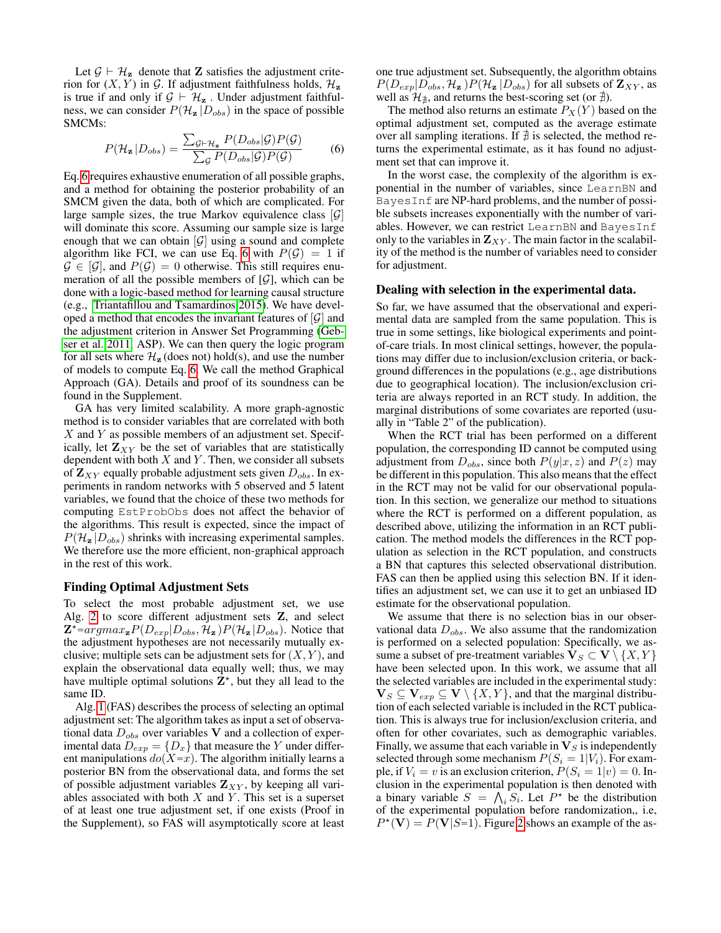Let  $\mathcal{G} \vdash \mathcal{H}_z$  denote that **Z** satisfies the adjustment criterion for  $(X, Y)$  in G. If adjustment faithfulness holds,  $\mathcal{H}_z$ is true if and only if  $G \vdash \mathcal{H}_z$ . Under adjustment faithfulness, we can consider  $P(\mathcal{H}_z | D_{obs})$  in the space of possible SMCMs:

<span id="page-3-0"></span>
$$
P(\mathcal{H}_{\mathbf{z}}|D_{obs}) = \frac{\sum_{\mathcal{G}\vdash\mathcal{H}_{\mathbf{z}}} P(D_{obs}|\mathcal{G})P(\mathcal{G})}{\sum_{\mathcal{G}} P(D_{obs}|\mathcal{G})P(\mathcal{G})}
$$
(6)

Eq. [6](#page-3-0) requires exhaustive enumeration of all possible graphs, and a method for obtaining the posterior probability of an SMCM given the data, both of which are complicated. For large sample sizes, the true Markov equivalence class  $[\mathcal{G}]$ will dominate this score. Assuming our sample size is large enough that we can obtain  $[\mathcal{G}]$  using a sound and complete algorithm like FCI, we can use Eq. [6](#page-3-0) with  $P(\mathcal{G}) = 1$  if  $\mathcal{G} \in [\mathcal{G}]$ , and  $P(\mathcal{G}) = 0$  otherwise. This still requires enumeration of all the possible members of  $[\mathcal{G}]$ , which can be done with a logic-based method for learning causal structure (e.g., [Triantafillou and Tsamardinos 2015\)](#page-7-4). We have developed a method that encodes the invariant features of  $|\mathcal{G}|$  and the adjustment criterion in Answer Set Programming [\(Geb](#page-7-5)[ser et al. 2011,](#page-7-5) ASP). We can then query the logic program for all sets where  $\mathcal{H}_{z}$  (does not) hold(s), and use the number of models to compute Eq. [6.](#page-3-0) We call the method Graphical Approach (GA). Details and proof of its soundness can be found in the Supplement.

GA has very limited scalability. A more graph-agnostic method is to consider variables that are correlated with both  $X$  and  $Y$  as possible members of an adjustment set. Specifically, let  $\mathbf{Z}_{XY}$  be the set of variables that are statistically dependent with both  $X$  and  $Y$ . Then, we consider all subsets of  $\mathbf{Z}_{XY}$  equally probable adjustment sets given  $D_{obs}$ . In experiments in random networks with 5 observed and 5 latent variables, we found that the choice of these two methods for computing EstProbObs does not affect the behavior of the algorithms. This result is expected, since the impact of  $P(\mathcal{H}_{z} | D_{obs})$  shrinks with increasing experimental samples. We therefore use the more efficient, non-graphical approach in the rest of this work.

#### Finding Optimal Adjustment Sets

To select the most probable adjustment set, we use Alg. [2](#page-2-0) to score different adjustment sets Z, and select  $\mathbf{Z}^*$ =argma $x_{\mathbf{z}}P(D_{exp}|D_{obs}, \mathcal{H}_{\mathbf{z}})P(\mathcal{H}_{\mathbf{z}}|D_{obs})$ . Notice that the adjustment hypotheses are not necessarily mutually exclusive; multiple sets can be adjustment sets for  $(X, Y)$ , and explain the observational data equally well; thus, we may have multiple optimal solutions  $\mathbf{Z}^*$ , but they all lead to the same ID.

Alg. [1](#page-1-1) (FAS) describes the process of selecting an optimal adjustment set: The algorithm takes as input a set of observational data  $D_{obs}$  over variables V and a collection of experimental data  $D_{exp} = \{D_x\}$  that measure the Y under different manipulations  $do(X=x)$ . The algorithm initially learns a posterior BN from the observational data, and forms the set of possible adjustment variables  $\mathbf{Z}_{XY}$ , by keeping all variables associated with both  $X$  and  $Y$ . This set is a superset of at least one true adjustment set, if one exists (Proof in the Supplement), so FAS will asymptotically score at least one true adjustment set. Subsequently, the algorithm obtains  $P(D_{exp}|D_{obs}, \mathcal{H}_{z})P(\mathcal{H}_{z}|D_{obs})$  for all subsets of  $\mathbf{Z}_{XY}$ , as well as  $\mathcal{H}_{\nexists}$ , and returns the best-scoring set (or  $\nexists$ ).

The method also returns an estimate  $P_X(Y)$  based on the optimal adjustment set, computed as the average estimate over all sampling iterations. If  $\ddagger$  is selected, the method returns the experimental estimate, as it has found no adjustment set that can improve it.

In the worst case, the complexity of the algorithm is exponential in the number of variables, since LearnBN and BayesInf are NP-hard problems, and the number of possible subsets increases exponentially with the number of variables. However, we can restrict LearnBN and BayesInf only to the variables in  $\mathbf{Z}_{XY}$ . The main factor in the scalability of the method is the number of variables need to consider for adjustment.

### Dealing with selection in the experimental data.

So far, we have assumed that the observational and experimental data are sampled from the same population. This is true in some settings, like biological experiments and pointof-care trials. In most clinical settings, however, the populations may differ due to inclusion/exclusion criteria, or background differences in the populations (e.g., age distributions due to geographical location). The inclusion/exclusion criteria are always reported in an RCT study. In addition, the marginal distributions of some covariates are reported (usually in "Table 2" of the publication).

When the RCT trial has been performed on a different population, the corresponding ID cannot be computed using adjustment from  $D_{obs}$ , since both  $P(y|x, z)$  and  $P(z)$  may be different in this population. This also means that the effect in the RCT may not be valid for our observational population. In this section, we generalize our method to situations where the RCT is performed on a different population, as described above, utilizing the information in an RCT publication. The method models the differences in the RCT population as selection in the RCT population, and constructs a BN that captures this selected observational distribution. FAS can then be applied using this selection BN. If it identifies an adjustment set, we can use it to get an unbiased ID estimate for the observational population.

We assume that there is no selection bias in our observational data  $D_{obs}$ . We also assume that the randomization is performed on a selected population: Specifically, we assume a subset of pre-treatment variables  $V_S \subset V \setminus \{X, Y\}$ have been selected upon. In this work, we assume that all the selected variables are included in the experimental study:  $\mathbf{V}_S \subseteq \mathbf{V}_{exp} \subseteq \mathbf{V} \setminus \{X, Y\}$ , and that the marginal distribution of each selected variable is included in the RCT publication. This is always true for inclusion/exclusion criteria, and often for other covariates, such as demographic variables. Finally, we assume that each variable in  $V<sub>S</sub>$  is independently selected through some mechanism  $P(S_i = 1|V_i)$ . For example, if  $V_i = v$  is an exclusion criterion,  $P(S_i = 1|v) = 0$ . Inclusion in the experimental population is then denoted with a binary variable  $S = \bigwedge_i S_i$ . Let  $P^*$  be the distribution of the experimental population before randomization,, i.e,  $P^*(V) = P(V|S=1)$ . Figure [2](#page-4-0) shows an example of the as-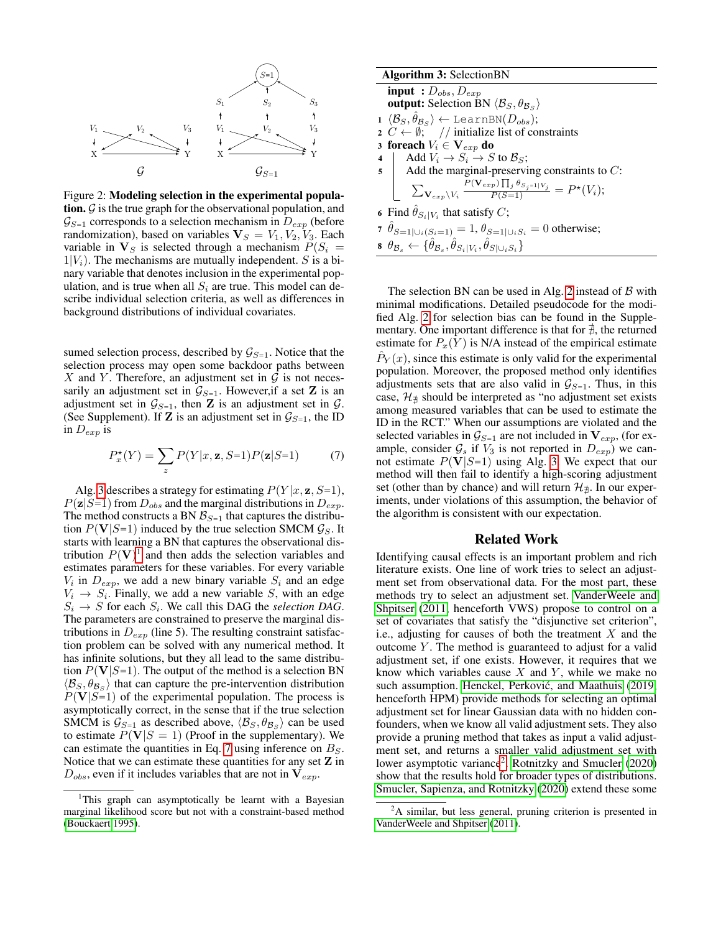<span id="page-4-0"></span>

Figure 2: Modeling selection in the experimental population.  $G$  is the true graph for the observational population, and  $\mathcal{G}_{S=1}$  corresponds to a selection mechanism in  $D_{exp}$  (before randomization), based on variables  $V_S = V_1, V_2, V_3$ . Each variable in  $V_S$  is selected through a mechanism  $P(S_i =$  $1|V_i$ ). The mechanisms are mutually independent. S is a binary variable that denotes inclusion in the experimental population, and is true when all  $S_i$  are true. This model can describe individual selection criteria, as well as differences in background distributions of individual covariates.

sumed selection process, described by  $\mathcal{G}_{S=1}$ . Notice that the selection process may open some backdoor paths between X and Y. Therefore, an adjustment set in  $\mathcal G$  is not necessarily an adjustment set in  $\mathcal{G}_{S=1}$ . However, if a set **Z** is an adjustment set in  $\mathcal{G}_{S=1}$ , then **Z** is an adjustment set in  $\mathcal{G}$ . (See Supplement). If **Z** is an adjustment set in  $\mathcal{G}_{S=1}$ , the ID in  $D_{exp}$  is

<span id="page-4-3"></span>
$$
P_x^{\star}(Y) = \sum_z P(Y|x, \mathbf{z}, S=1)P(\mathbf{z}|S=1)
$$
 (7)

Alg. [3](#page-4-1) describes a strategy for estimating  $P(Y|x, z, S=1)$ ,  $P(\mathbf{z}|S=1)$  from  $D_{obs}$  and the marginal distributions in  $D_{exp}$ . The method constructs a BN  $\mathcal{B}_{S=1}$  that captures the distribution  $P(V|S=1)$  induced by the true selection SMCM  $\mathcal{G}_S$ . It starts with learning a BN that captures the observational distribution  $P(V)^{1}$  $P(V)^{1}$  $P(V)^{1}$  and then adds the selection variables and estimates parameters for these variables. For every variable  $V_i$  in  $D_{exp}$ , we add a new binary variable  $S_i$  and an edge  $V_i \rightarrow S_i$ . Finally, we add a new variable S, with an edge  $S_i \rightarrow S$  for each  $S_i$ . We call this DAG the *selection DAG*. The parameters are constrained to preserve the marginal distributions in  $D_{exp}$  (line 5). The resulting constraint satisfaction problem can be solved with any numerical method. It has infinite solutions, but they all lead to the same distribution  $P(V|S=1)$ . The output of the method is a selection BN  $\langle B_S, \theta_{B_S} \rangle$  that can capture the pre-intervention distribution  $P(V|S=1)$  of the experimental population. The process is asymptotically correct, in the sense that if the true selection SMCM is  $\mathcal{G}_{S=1}$  as described above,  $\langle \mathcal{B}_S, \theta_{\mathcal{B}_S} \rangle$  can be used to estimate  $P(V|S = 1)$  (Proof in the supplementary). We can estimate the quantities in Eq. [7](#page-4-3) using inference on  $B<sub>S</sub>$ . Notice that we can estimate these quantities for any set  $Z$  in  $D_{obs}$ , even if it includes variables that are not in  $V_{exp}$ .

| <b>Algorithm 3: SelectionBN</b>                                                                                             |
|-----------------------------------------------------------------------------------------------------------------------------|
| <b>input</b> : $D_{obs}$ , $D_{exp}$                                                                                        |
| <b>output:</b> Selection BN $\langle \mathcal{B}_S, \theta_{\mathcal{B}_S} \rangle$                                         |
| $1 \langle \mathcal{B}_S, \hat{\theta}_{\mathcal{B}_S} \rangle \leftarrow \text{LearnBN}(D_{obs});$                         |
| 2 $C \leftarrow \emptyset$ ; // initialize list of constraints                                                              |
| 3 foreach $V_i \in V_{exp}$ do                                                                                              |
|                                                                                                                             |
| 4 Add $V_i \rightarrow S_i \rightarrow S$ to $B_S$ ;<br>5 Add the marginal-preserving constraints to C:                     |
| $\sum_{\mathbf{V}_{exp} \backslash V_i} \frac{P(\mathbf{V}_{exp}) \prod_j \theta_{S_j=1 V_j}}{P(S=1)} = P^{\star}(V_i);$    |
| 6 Find $\hat{\theta}_{S_i V_i}$ that satisfy C;                                                                             |
| 7 $\hat{\theta}_{S=1 \cup_i(S_i=1)} = 1, \theta_{S=1 \cup_i S_i} = 0$ otherwise;                                            |
| $\theta_{\mathcal{B}_s} \leftarrow {\{\hat{\theta}_{\mathcal{B}_s}, \hat{\theta}_{S_i V_i}, \hat{\theta}_{S_i V_i, S_i}\}}$ |

<span id="page-4-1"></span>The selection BN can be used in Alg. [2](#page-2-0) instead of  $B$  with minimal modifications. Detailed pseudocode for the modified Alg. [2](#page-2-0) for selection bias can be found in the Supplementary. One important difference is that for  $\neq$ , the returned estimate for  $P_x(Y)$  is N/A instead of the empirical estimate  $\hat{P}_Y(x)$ , since this estimate is only valid for the experimental population. Moreover, the proposed method only identifies adjustments sets that are also valid in  $\mathcal{G}_{S=1}$ . Thus, in this case,  $\mathcal{H}_{\#}$  should be interpreted as "no adjustment set exists among measured variables that can be used to estimate the ID in the RCT." When our assumptions are violated and the selected variables in  $\mathcal{G}_{S=1}$  are not included in  $\mathbf{V}_{exp}$ , (for example, consider  $\mathcal{G}_s$  if  $V_3$  is not reported in  $D_{exp}$ ) we cannot estimate  $P(V|S=1)$  using Alg. [3.](#page-4-1) We expect that our method will then fail to identify a high-scoring adjustment set (other than by chance) and will return  $\mathcal{H}_{\#}$ . In our experiments, under violations of this assumption, the behavior of the algorithm is consistent with our expectation.

#### Related Work

Identifying causal effects is an important problem and rich literature exists. One line of work tries to select an adjustment set from observational data. For the most part, these methods try to select an adjustment set. [VanderWeele and](#page-7-6) [Shpitser](#page-7-6) [\(2011,](#page-7-6) henceforth VWS) propose to control on a set of covariates that satisfy the "disjunctive set criterion", i.e., adjusting for causes of both the treatment  $X$  and the outcome  $Y$ . The method is guaranteed to adjust for a valid adjustment set, if one exists. However, it requires that we know which variables cause  $X$  and  $Y$ , while we make no such assumption. Henckel, Perković, and Maathuis [\(2019,](#page-7-7) henceforth HPM) provide methods for selecting an optimal adjustment set for linear Gaussian data with no hidden confounders, when we know all valid adjustment sets. They also provide a pruning method that takes as input a valid adjustment set, and returns a smaller valid adjustment set with lower asymptotic variance<sup>[2](#page-4-4)</sup>. [Rotnitzky and Smucler](#page-7-8) [\(2020\)](#page-7-8) show that the results hold for broader types of distributions. [Smucler, Sapienza, and Rotnitzky](#page-7-9) [\(2020\)](#page-7-9) extend these some

<span id="page-4-2"></span><sup>&</sup>lt;sup>1</sup>This graph can asymptotically be learnt with a Bayesian marginal likelihood score but not with a constraint-based method [\(Bouckaert 1995\)](#page-6-0).

<span id="page-4-4"></span><sup>&</sup>lt;sup>2</sup>A similar, but less general, pruning criterion is presented in [VanderWeele and Shpitser](#page-7-6) [\(2011\)](#page-7-6).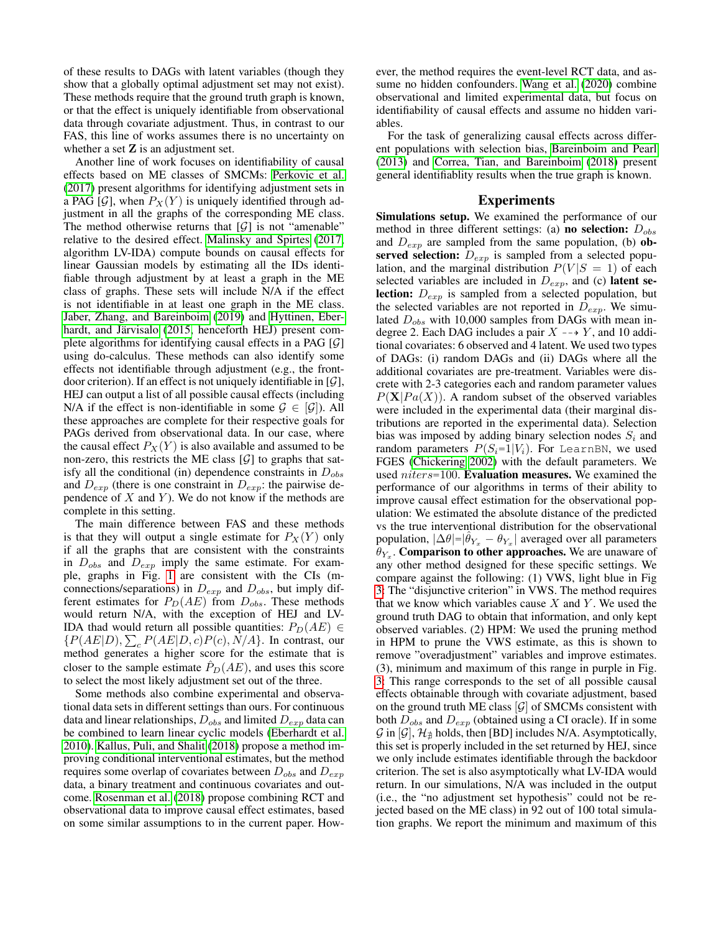of these results to DAGs with latent variables (though they show that a globally optimal adjustment set may not exist). These methods require that the ground truth graph is known, or that the effect is uniquely identifiable from observational data through covariate adjustment. Thus, in contrast to our FAS, this line of works assumes there is no uncertainty on whether a set  $Z$  is an adjustment set.

Another line of work focuses on identifiability of causal effects based on ME classes of SMCMs: [Perkovic et al.](#page-7-10) [\(2017\)](#page-7-10) present algorithms for identifying adjustment sets in a PAG [ $\mathcal{G}$ ], when  $P_X(Y)$  is uniquely identified through adjustment in all the graphs of the corresponding ME class. The method otherwise returns that  $[\mathcal{G}]$  is not "amenable" relative to the desired effect. [Malinsky and Spirtes](#page-7-11) [\(2017,](#page-7-11) algorithm LV-IDA) compute bounds on causal effects for linear Gaussian models by estimating all the IDs identifiable through adjustment by at least a graph in the ME class of graphs. These sets will include N/A if the effect is not identifiable in at least one graph in the ME class. [Jaber, Zhang, and Bareinboim](#page-7-12) [\(2019\)](#page-7-12) and [Hyttinen, Eber-](#page-7-13)hardt, and Järvisalo [\(2015,](#page-7-13) henceforth HEJ) present complete algorithms for identifying causal effects in a PAG  $[G]$ using do-calculus. These methods can also identify some effects not identifiable through adjustment (e.g., the frontdoor criterion). If an effect is not uniquely identifiable in  $[\mathcal{G}]$ , HEJ can output a list of all possible causal effects (including N/A if the effect is non-identifiable in some  $\mathcal{G} \in [\mathcal{G}]$ . All these approaches are complete for their respective goals for PAGs derived from observational data. In our case, where the causal effect  $P_X(Y)$  is also available and assumed to be non-zero, this restricts the ME class  $[\mathcal{G}]$  to graphs that satisfy all the conditional (in) dependence constraints in  $D_{obs}$ and  $D_{exp}$  (there is one constraint in  $D_{exp}$ : the pairwise dependence of  $X$  and  $Y$ ). We do not know if the methods are complete in this setting.

The main difference between FAS and these methods is that they will output a single estimate for  $P_X(Y)$  only if all the graphs that are consistent with the constraints in  $D_{obs}$  and  $D_{exp}$  imply the same estimate. For example, graphs in Fig. [1](#page-0-0) are consistent with the CIs (mconnections/separations) in  $D_{exp}$  and  $D_{obs}$ , but imply different estimates for  $P_D(AE)$  from  $D_{obs}$ . These methods would return N/A, with the exception of HEJ and LV-IDA thad would return all possible quantities:  $P_D(AE) \in$  $\{P(AE|D), \sum_{c} P(AE|D, c)P(c), N/A\}$ . In contrast, our method generates a higher score for the estimate that is closer to the sample estimate  $\hat{P}_D(AE)$ , and uses this score to select the most likely adjustment set out of the three.

Some methods also combine experimental and observational data sets in different settings than ours. For continuous data and linear relationships,  $D_{obs}$  and limited  $D_{exp}$  data can be combined to learn linear cyclic models [\(Eberhardt et al.](#page-7-14) [2010\)](#page-7-14). [Kallus, Puli, and Shalit](#page-7-15) [\(2018\)](#page-7-15) propose a method improving conditional interventional estimates, but the method requires some overlap of covariates between  $D_{obs}$  and  $D_{exp}$ data, a binary treatment and continuous covariates and outcome. [Rosenman et al.](#page-7-16) [\(2018\)](#page-7-16) propose combining RCT and observational data to improve causal effect estimates, based on some similar assumptions to in the current paper. How-

ever, the method requires the event-level RCT data, and assume no hidden confounders. [Wang et al.](#page-7-17) [\(2020\)](#page-7-17) combine observational and limited experimental data, but focus on identifiability of causal effects and assume no hidden variables.

For the task of generalizing causal effects across different populations with selection bias, [Bareinboim and Pearl](#page-6-1) [\(2013\)](#page-6-1) and [Correa, Tian, and Bareinboim](#page-7-18) [\(2018\)](#page-7-18) present general identifiablity results when the true graph is known.

#### Experiments

Simulations setup. We examined the performance of our method in three different settings: (a) **no selection:**  $D_{obs}$ and  $D_{exp}$  are sampled from the same population, (b) observed selection:  $D_{exp}$  is sampled from a selected population, and the marginal distribution  $P(V|S = 1)$  of each selected variables are included in  $D_{exp}$ , and (c) latent se**lection:**  $D_{exp}$  is sampled from a selected population, but the selected variables are not reported in  $D_{exp}$ . We simulated  $D_{obs}$  with 10,000 samples from DAGs with mean indegree 2. Each DAG includes a pair  $X \dashrightarrow Y$ , and 10 additional covariates: 6 observed and 4 latent. We used two types of DAGs: (i) random DAGs and (ii) DAGs where all the additional covariates are pre-treatment. Variables were discrete with 2-3 categories each and random parameter values  $P(X|Pa(X))$ . A random subset of the observed variables were included in the experimental data (their marginal distributions are reported in the experimental data). Selection bias was imposed by adding binary selection nodes  $S_i$  and random parameters  $P(S_i=1|V_i)$ . For LearnBN, we used FGES [\(Chickering 2002\)](#page-7-19) with the default parameters. We used *niters*=100. **Evaluation measures.** We examined the performance of our algorithms in terms of their ability to improve causal effect estimation for the observational population: We estimated the absolute distance of the predicted vs the true interventional distribution for the observational population,  $|\Delta \theta| = |\hat{\theta}_{Y_x} - \theta_{Y_x}|$  averaged over all parameters  $\theta_{Y_x}$ . Comparison to other approaches. We are unaware of any other method designed for these specific settings. We compare against the following: (1) VWS, light blue in Fig [3:](#page-6-2) The "disjunctive criterion" in VWS. The method requires that we know which variables cause  $X$  and  $Y$ . We used the ground truth DAG to obtain that information, and only kept observed variables. (2) HPM: We used the pruning method in HPM to prune the VWS estimate, as this is shown to remove "overadjustment" variables and improve estimates. (3), minimum and maximum of this range in purple in Fig. [3:](#page-6-2) This range corresponds to the set of all possible causal effects obtainable through with covariate adjustment, based on the ground truth ME class  $[\mathcal{G}]$  of SMCMs consistent with both  $D_{obs}$  and  $D_{exp}$  (obtained using a CI oracle). If in some  $\mathcal G$  in  $[\mathcal G], \mathcal H_{\#}$  holds, then [BD] includes N/A. Asymptotically, this set is properly included in the set returned by HEJ, since we only include estimates identifiable through the backdoor criterion. The set is also asymptotically what LV-IDA would return. In our simulations, N/A was included in the output (i.e., the "no adjustment set hypothesis" could not be rejected based on the ME class) in 92 out of 100 total simulation graphs. We report the minimum and maximum of this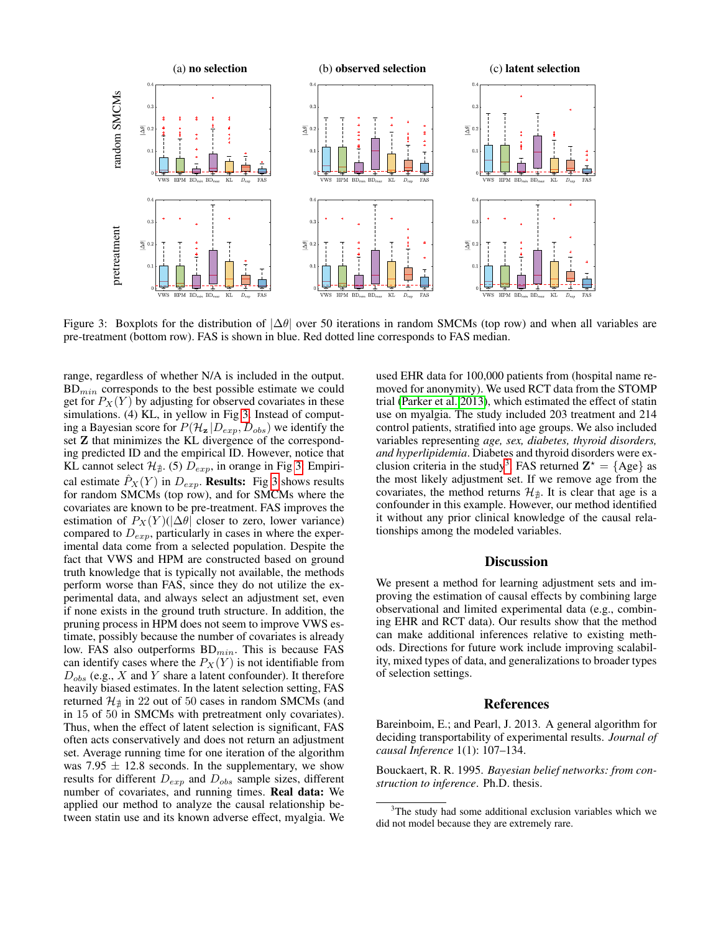<span id="page-6-2"></span>

Figure 3: Boxplots for the distribution of  $|\Delta \theta|$  over 50 iterations in random SMCMs (top row) and when all variables are pre-treatment (bottom row). FAS is shown in blue. Red dotted line corresponds to FAS median.

range, regardless of whether N/A is included in the output.  $BD_{min}$  corresponds to the best possible estimate we could get for  $P_X(Y)$  by adjusting for observed covariates in these simulations. (4) KL, in yellow in Fig [3.](#page-6-2) Instead of computing a Bayesian score for  $P(\mathcal{H}_z | D_{exp}, D_{obs})$  we identify the set Z that minimizes the KL divergence of the corresponding predicted ID and the empirical ID. However, notice that KL cannot select  $\mathcal{H}_{\nexists}$ . (5)  $D_{exp}$ , in orange in Fig [3:](#page-6-2) Empirical estimate  $\hat{P}_X(Y)$  in  $D_{exp}$ . Results: Fig [3](#page-6-2) shows results for random SMCMs (top row), and for SMCMs where the covariates are known to be pre-treatment. FAS improves the estimation of  $P_X(Y)(|\Delta\theta|)$  closer to zero, lower variance) compared to  $D_{exp}$ , particularly in cases in where the experimental data come from a selected population. Despite the fact that VWS and HPM are constructed based on ground truth knowledge that is typically not available, the methods perform worse than FAS, since they do not utilize the experimental data, and always select an adjustment set, even if none exists in the ground truth structure. In addition, the pruning process in HPM does not seem to improve VWS estimate, possibly because the number of covariates is already low. FAS also outperforms  $BD_{min}$ . This is because FAS can identify cases where the  $P_X(Y)$  is not identifiable from  $D_{obs}$  (e.g., X and Y share a latent confounder). It therefore heavily biased estimates. In the latent selection setting, FAS returned  $\mathcal{H}_{\sharp}$  in 22 out of 50 cases in random SMCMs (and in 15 of 50 in SMCMs with pretreatment only covariates). Thus, when the effect of latent selection is significant, FAS often acts conservatively and does not return an adjustment set. Average running time for one iteration of the algorithm was 7.95  $\pm$  12.8 seconds. In the supplementary, we show results for different  $D_{exp}$  and  $D_{obs}$  sample sizes, different number of covariates, and running times. Real data: We applied our method to analyze the causal relationship between statin use and its known adverse effect, myalgia. We used EHR data for 100,000 patients from (hospital name removed for anonymity). We used RCT data from the STOMP trial [\(Parker et al. 2013\)](#page-7-20), which estimated the effect of statin use on myalgia. The study included 203 treatment and 214 control patients, stratified into age groups. We also included variables representing *age, sex, diabetes, thyroid disorders, and hyperlipidemia*. Diabetes and thyroid disorders were ex-clusion criteria in the study<sup>[3](#page-6-3)</sup>. FAS returned  $\mathbf{Z}^* = \{ \text{Age} \}$  as the most likely adjustment set. If we remove age from the covariates, the method returns  $\mathcal{H}_{\nexists}$ . It is clear that age is a confounder in this example. However, our method identified it without any prior clinical knowledge of the causal relationships among the modeled variables.

### **Discussion**

We present a method for learning adjustment sets and improving the estimation of causal effects by combining large observational and limited experimental data (e.g., combining EHR and RCT data). Our results show that the method can make additional inferences relative to existing methods. Directions for future work include improving scalability, mixed types of data, and generalizations to broader types of selection settings.

#### References

<span id="page-6-1"></span>Bareinboim, E.; and Pearl, J. 2013. A general algorithm for deciding transportability of experimental results. *Journal of causal Inference* 1(1): 107–134.

<span id="page-6-0"></span>Bouckaert, R. R. 1995. *Bayesian belief networks: from construction to inference*. Ph.D. thesis.

<span id="page-6-3"></span><sup>&</sup>lt;sup>3</sup>The study had some additional exclusion variables which we did not model because they are extremely rare.